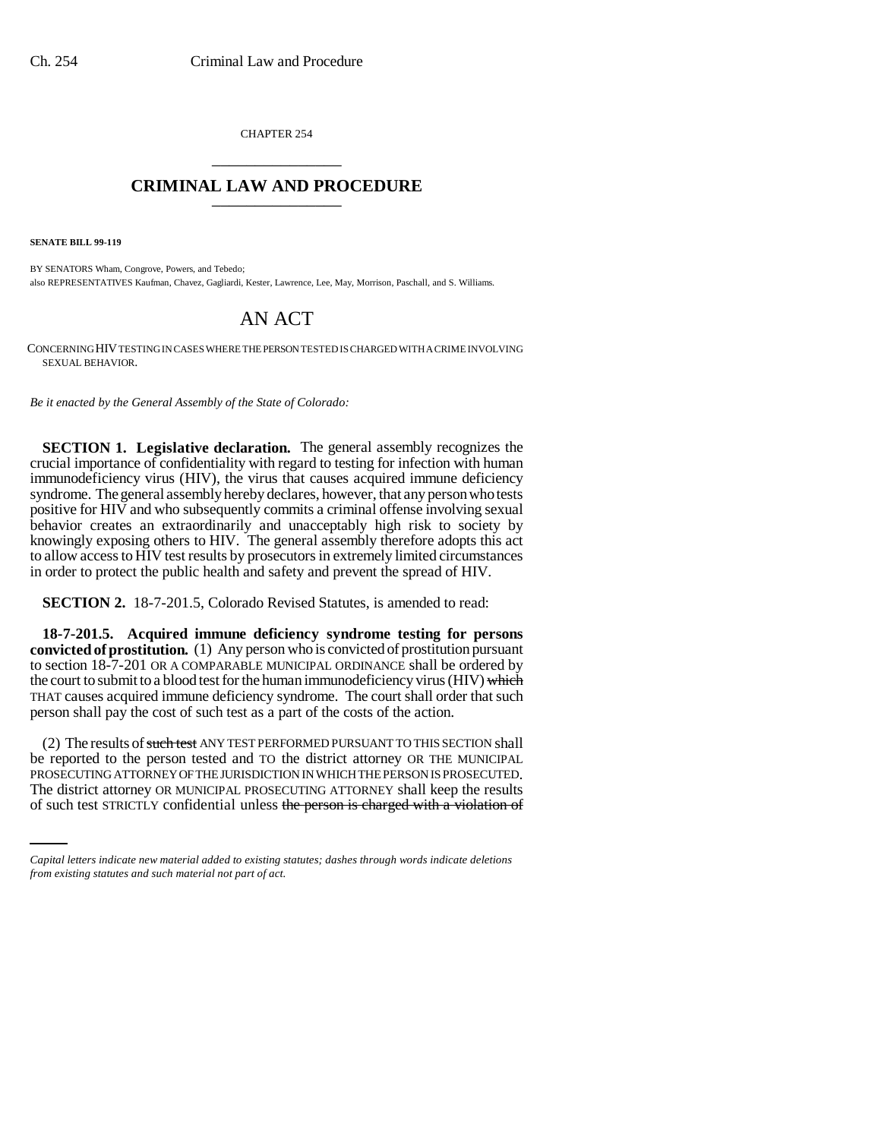CHAPTER 254 \_\_\_\_\_\_\_\_\_\_\_\_\_\_\_

# **CRIMINAL LAW AND PROCEDURE** \_\_\_\_\_\_\_\_\_\_\_\_\_\_\_

**SENATE BILL 99-119** 

BY SENATORS Wham, Congrove, Powers, and Tebedo; also REPRESENTATIVES Kaufman, Chavez, Gagliardi, Kester, Lawrence, Lee, May, Morrison, Paschall, and S. Williams.

# AN ACT

CONCERNING HIV TESTING IN CASES WHERE THE PERSON TESTED IS CHARGED WITH A CRIME INVOLVING SEXUAL BEHAVIOR.

*Be it enacted by the General Assembly of the State of Colorado:*

**SECTION 1. Legislative declaration.** The general assembly recognizes the crucial importance of confidentiality with regard to testing for infection with human immunodeficiency virus (HIV), the virus that causes acquired immune deficiency syndrome. The general assembly hereby declares, however, that any person who tests positive for HIV and who subsequently commits a criminal offense involving sexual behavior creates an extraordinarily and unacceptably high risk to society by knowingly exposing others to HIV. The general assembly therefore adopts this act to allow access to HIV test results by prosecutors in extremely limited circumstances in order to protect the public health and safety and prevent the spread of HIV.

**SECTION 2.** 18-7-201.5, Colorado Revised Statutes, is amended to read:

**18-7-201.5. Acquired immune deficiency syndrome testing for persons convicted of prostitution.** (1) Any person who is convicted of prostitution pursuant to section 18-7-201 OR A COMPARABLE MUNICIPAL ORDINANCE shall be ordered by the court to submit to a blood test for the human immunodeficiency virus (HIV) which THAT causes acquired immune deficiency syndrome. The court shall order that such person shall pay the cost of such test as a part of the costs of the action.

PROSECUTING ATTORNEY OF THE JURISDICTION IN WHICH THE PERSON IS PROSECUTED. (2) The results of such test ANY TEST PERFORMED PURSUANT TO THIS SECTION shall be reported to the person tested and TO the district attorney OR THE MUNICIPAL The district attorney OR MUNICIPAL PROSECUTING ATTORNEY shall keep the results of such test STRICTLY confidential unless the person is charged with a violation of

*Capital letters indicate new material added to existing statutes; dashes through words indicate deletions from existing statutes and such material not part of act.*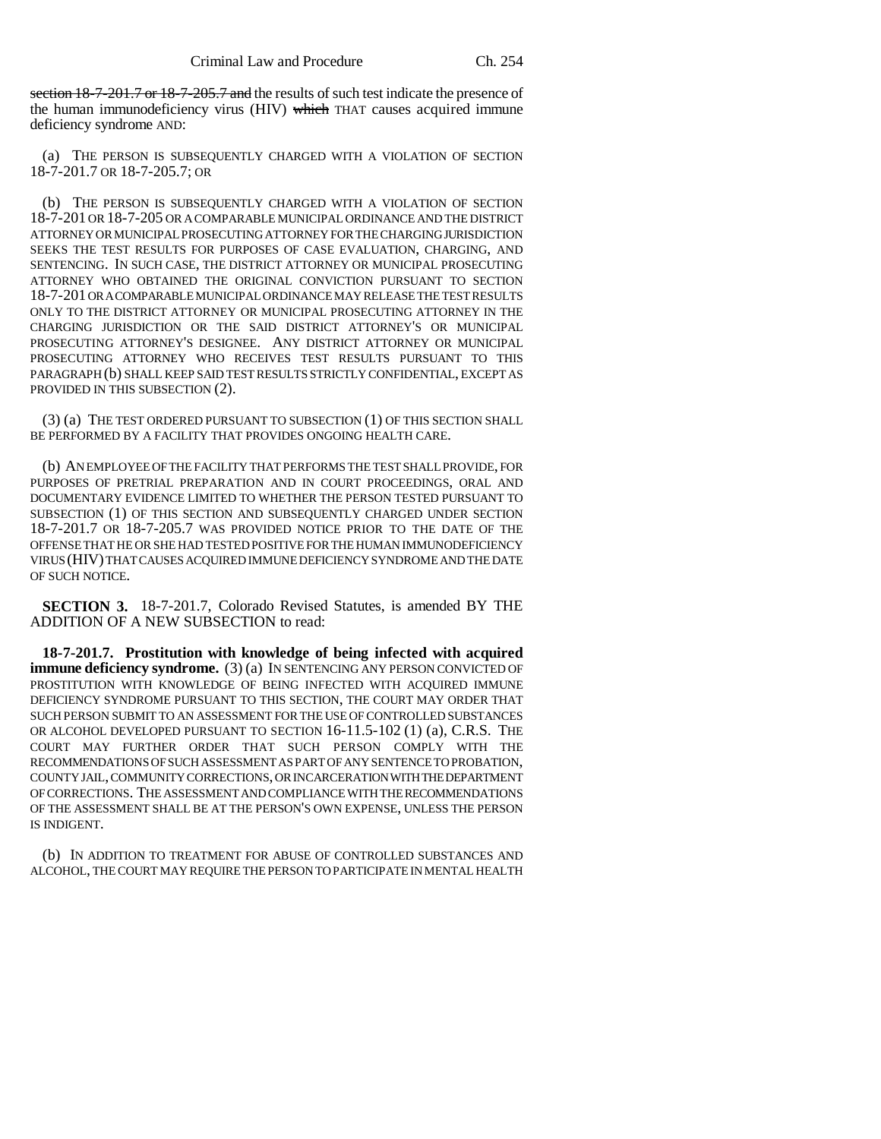section 18-7-201.7 or 18-7-205.7 and the results of such test indicate the presence of the human immunodeficiency virus (HIV) which THAT causes acquired immune deficiency syndrome AND:

(a) THE PERSON IS SUBSEQUENTLY CHARGED WITH A VIOLATION OF SECTION 18-7-201.7 OR 18-7-205.7; OR

(b) THE PERSON IS SUBSEQUENTLY CHARGED WITH A VIOLATION OF SECTION 18-7-201 OR 18-7-205 OR A COMPARABLE MUNICIPAL ORDINANCE AND THE DISTRICT ATTORNEY OR MUNICIPAL PROSECUTING ATTORNEY FOR THE CHARGING JURISDICTION SEEKS THE TEST RESULTS FOR PURPOSES OF CASE EVALUATION, CHARGING, AND SENTENCING. IN SUCH CASE, THE DISTRICT ATTORNEY OR MUNICIPAL PROSECUTING ATTORNEY WHO OBTAINED THE ORIGINAL CONVICTION PURSUANT TO SECTION 18-7-201 OR A COMPARABLE MUNICIPAL ORDINANCE MAY RELEASE THE TEST RESULTS ONLY TO THE DISTRICT ATTORNEY OR MUNICIPAL PROSECUTING ATTORNEY IN THE CHARGING JURISDICTION OR THE SAID DISTRICT ATTORNEY'S OR MUNICIPAL PROSECUTING ATTORNEY'S DESIGNEE. ANY DISTRICT ATTORNEY OR MUNICIPAL PROSECUTING ATTORNEY WHO RECEIVES TEST RESULTS PURSUANT TO THIS PARAGRAPH (b) SHALL KEEP SAID TEST RESULTS STRICTLY CONFIDENTIAL, EXCEPT AS PROVIDED IN THIS SUBSECTION (2).

(3) (a) THE TEST ORDERED PURSUANT TO SUBSECTION (1) OF THIS SECTION SHALL BE PERFORMED BY A FACILITY THAT PROVIDES ONGOING HEALTH CARE.

(b) AN EMPLOYEE OF THE FACILITY THAT PERFORMS THE TEST SHALL PROVIDE, FOR PURPOSES OF PRETRIAL PREPARATION AND IN COURT PROCEEDINGS, ORAL AND DOCUMENTARY EVIDENCE LIMITED TO WHETHER THE PERSON TESTED PURSUANT TO SUBSECTION (1) OF THIS SECTION AND SUBSEQUENTLY CHARGED UNDER SECTION 18-7-201.7 OR 18-7-205.7 WAS PROVIDED NOTICE PRIOR TO THE DATE OF THE OFFENSE THAT HE OR SHE HAD TESTED POSITIVE FOR THE HUMAN IMMUNODEFICIENCY VIRUS (HIV) THAT CAUSES ACQUIRED IMMUNE DEFICIENCY SYNDROME AND THE DATE OF SUCH NOTICE.

**SECTION 3.** 18-7-201.7, Colorado Revised Statutes, is amended BY THE ADDITION OF A NEW SUBSECTION to read:

**18-7-201.7. Prostitution with knowledge of being infected with acquired immune deficiency syndrome.** (3) (a) IN SENTENCING ANY PERSON CONVICTED OF PROSTITUTION WITH KNOWLEDGE OF BEING INFECTED WITH ACQUIRED IMMUNE DEFICIENCY SYNDROME PURSUANT TO THIS SECTION, THE COURT MAY ORDER THAT SUCH PERSON SUBMIT TO AN ASSESSMENT FOR THE USE OF CONTROLLED SUBSTANCES OR ALCOHOL DEVELOPED PURSUANT TO SECTION 16-11.5-102 (1) (a), C.R.S. THE COURT MAY FURTHER ORDER THAT SUCH PERSON COMPLY WITH THE RECOMMENDATIONS OF SUCH ASSESSMENT AS PART OF ANY SENTENCE TO PROBATION, COUNTY JAIL, COMMUNITY CORRECTIONS, OR INCARCERATION WITH THE DEPARTMENT OF CORRECTIONS. THE ASSESSMENT AND COMPLIANCE WITH THE RECOMMENDATIONS OF THE ASSESSMENT SHALL BE AT THE PERSON'S OWN EXPENSE, UNLESS THE PERSON IS INDIGENT.

(b) IN ADDITION TO TREATMENT FOR ABUSE OF CONTROLLED SUBSTANCES AND ALCOHOL, THE COURT MAY REQUIRE THE PERSON TO PARTICIPATE IN MENTAL HEALTH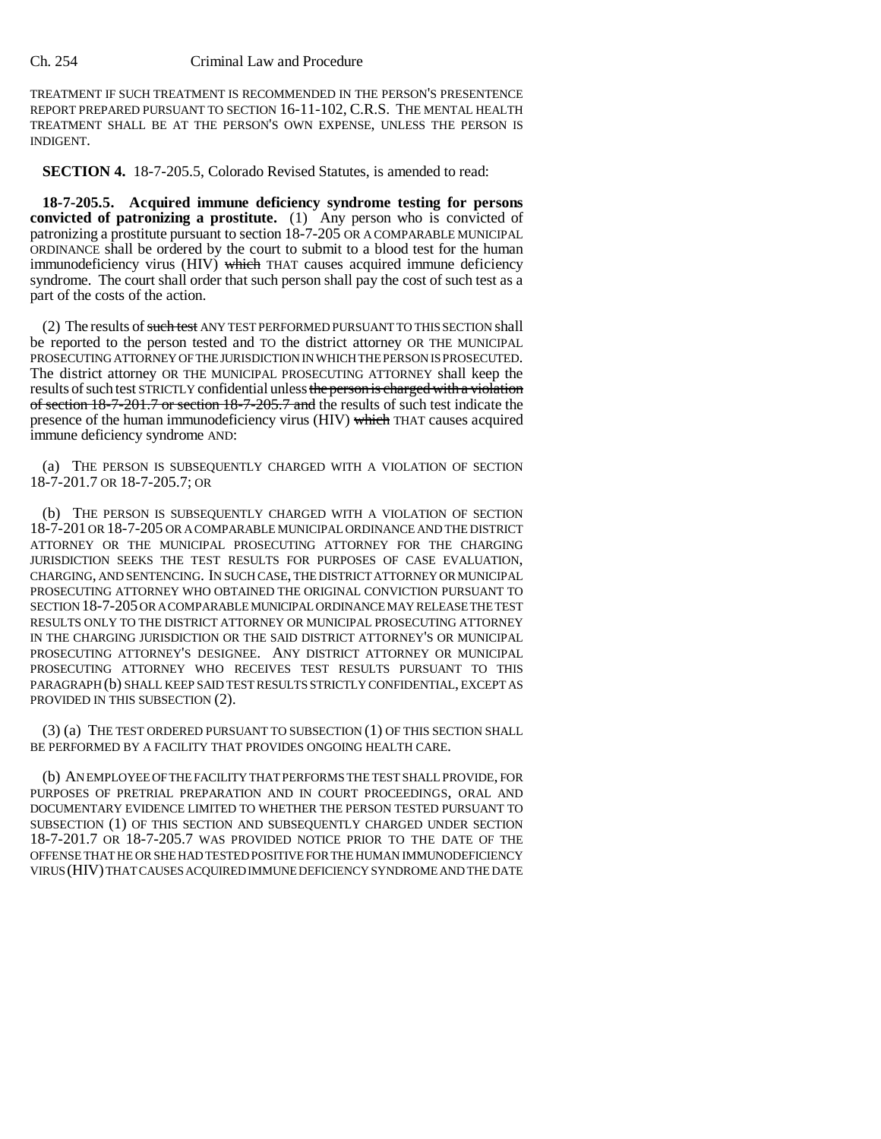### Ch. 254 Criminal Law and Procedure

TREATMENT IF SUCH TREATMENT IS RECOMMENDED IN THE PERSON'S PRESENTENCE REPORT PREPARED PURSUANT TO SECTION 16-11-102, C.R.S. THE MENTAL HEALTH TREATMENT SHALL BE AT THE PERSON'S OWN EXPENSE, UNLESS THE PERSON IS INDIGENT.

**SECTION 4.** 18-7-205.5, Colorado Revised Statutes, is amended to read:

**18-7-205.5. Acquired immune deficiency syndrome testing for persons convicted of patronizing a prostitute.** (1) Any person who is convicted of patronizing a prostitute pursuant to section 18-7-205 OR A COMPARABLE MUNICIPAL ORDINANCE shall be ordered by the court to submit to a blood test for the human immunodeficiency virus (HIV) which THAT causes acquired immune deficiency syndrome. The court shall order that such person shall pay the cost of such test as a part of the costs of the action.

(2) The results of such test ANY TEST PERFORMED PURSUANT TO THIS SECTION shall be reported to the person tested and TO the district attorney OR THE MUNICIPAL PROSECUTING ATTORNEY OF THE JURISDICTION IN WHICH THE PERSON IS PROSECUTED. The district attorney OR THE MUNICIPAL PROSECUTING ATTORNEY shall keep the results of such test STRICTLY confidential unless the person is charged with a violation of section 18-7-201.7 or section 18-7-205.7 and the results of such test indicate the presence of the human immunodeficiency virus (HIV) which THAT causes acquired immune deficiency syndrome AND:

(a) THE PERSON IS SUBSEQUENTLY CHARGED WITH A VIOLATION OF SECTION 18-7-201.7 OR 18-7-205.7; OR

(b) THE PERSON IS SUBSEQUENTLY CHARGED WITH A VIOLATION OF SECTION 18-7-201 OR 18-7-205 OR A COMPARABLE MUNICIPAL ORDINANCE AND THE DISTRICT ATTORNEY OR THE MUNICIPAL PROSECUTING ATTORNEY FOR THE CHARGING JURISDICTION SEEKS THE TEST RESULTS FOR PURPOSES OF CASE EVALUATION, CHARGING, AND SENTENCING. IN SUCH CASE, THE DISTRICT ATTORNEY OR MUNICIPAL PROSECUTING ATTORNEY WHO OBTAINED THE ORIGINAL CONVICTION PURSUANT TO SECTION 18-7-205 OR A COMPARABLE MUNICIPAL ORDINANCE MAY RELEASE THE TEST RESULTS ONLY TO THE DISTRICT ATTORNEY OR MUNICIPAL PROSECUTING ATTORNEY IN THE CHARGING JURISDICTION OR THE SAID DISTRICT ATTORNEY'S OR MUNICIPAL PROSECUTING ATTORNEY'S DESIGNEE. ANY DISTRICT ATTORNEY OR MUNICIPAL PROSECUTING ATTORNEY WHO RECEIVES TEST RESULTS PURSUANT TO THIS PARAGRAPH (b) SHALL KEEP SAID TEST RESULTS STRICTLY CONFIDENTIAL, EXCEPT AS PROVIDED IN THIS SUBSECTION (2).

(3) (a) THE TEST ORDERED PURSUANT TO SUBSECTION (1) OF THIS SECTION SHALL BE PERFORMED BY A FACILITY THAT PROVIDES ONGOING HEALTH CARE.

(b) AN EMPLOYEE OF THE FACILITY THAT PERFORMS THE TEST SHALL PROVIDE, FOR PURPOSES OF PRETRIAL PREPARATION AND IN COURT PROCEEDINGS, ORAL AND DOCUMENTARY EVIDENCE LIMITED TO WHETHER THE PERSON TESTED PURSUANT TO SUBSECTION (1) OF THIS SECTION AND SUBSEQUENTLY CHARGED UNDER SECTION 18-7-201.7 OR 18-7-205.7 WAS PROVIDED NOTICE PRIOR TO THE DATE OF THE OFFENSE THAT HE OR SHE HAD TESTED POSITIVE FOR THE HUMAN IMMUNODEFICIENCY VIRUS (HIV) THAT CAUSES ACQUIRED IMMUNE DEFICIENCY SYNDROME AND THE DATE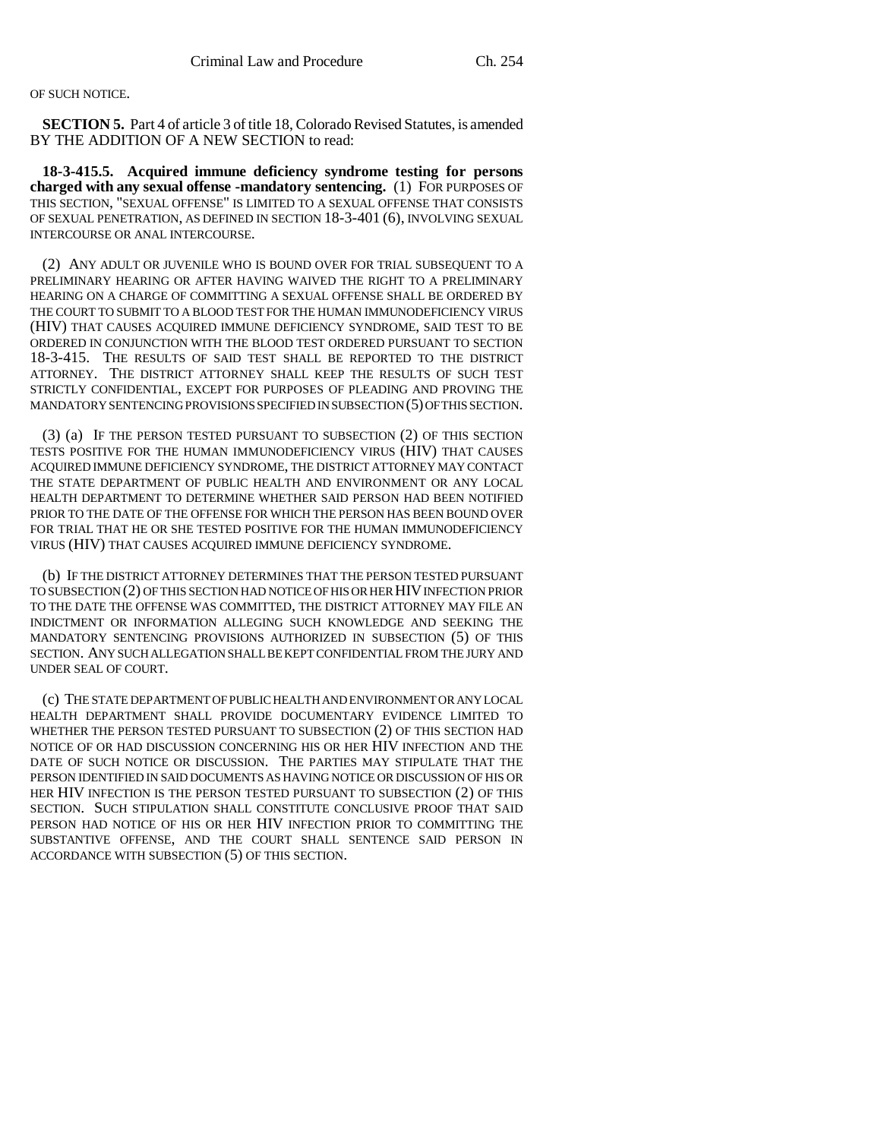## OF SUCH NOTICE.

**SECTION 5.** Part 4 of article 3 of title 18, Colorado Revised Statutes, is amended BY THE ADDITION OF A NEW SECTION to read:

**18-3-415.5. Acquired immune deficiency syndrome testing for persons charged with any sexual offense -mandatory sentencing.** (1) FOR PURPOSES OF THIS SECTION, "SEXUAL OFFENSE" IS LIMITED TO A SEXUAL OFFENSE THAT CONSISTS OF SEXUAL PENETRATION, AS DEFINED IN SECTION 18-3-401 (6), INVOLVING SEXUAL INTERCOURSE OR ANAL INTERCOURSE.

(2) ANY ADULT OR JUVENILE WHO IS BOUND OVER FOR TRIAL SUBSEQUENT TO A PRELIMINARY HEARING OR AFTER HAVING WAIVED THE RIGHT TO A PRELIMINARY HEARING ON A CHARGE OF COMMITTING A SEXUAL OFFENSE SHALL BE ORDERED BY THE COURT TO SUBMIT TO A BLOOD TEST FOR THE HUMAN IMMUNODEFICIENCY VIRUS (HIV) THAT CAUSES ACQUIRED IMMUNE DEFICIENCY SYNDROME, SAID TEST TO BE ORDERED IN CONJUNCTION WITH THE BLOOD TEST ORDERED PURSUANT TO SECTION 18-3-415. THE RESULTS OF SAID TEST SHALL BE REPORTED TO THE DISTRICT ATTORNEY. THE DISTRICT ATTORNEY SHALL KEEP THE RESULTS OF SUCH TEST STRICTLY CONFIDENTIAL, EXCEPT FOR PURPOSES OF PLEADING AND PROVING THE MANDATORY SENTENCING PROVISIONS SPECIFIED IN SUBSECTION (5) OF THIS SECTION.

(3) (a) IF THE PERSON TESTED PURSUANT TO SUBSECTION (2) OF THIS SECTION TESTS POSITIVE FOR THE HUMAN IMMUNODEFICIENCY VIRUS (HIV) THAT CAUSES ACQUIRED IMMUNE DEFICIENCY SYNDROME, THE DISTRICT ATTORNEY MAY CONTACT THE STATE DEPARTMENT OF PUBLIC HEALTH AND ENVIRONMENT OR ANY LOCAL HEALTH DEPARTMENT TO DETERMINE WHETHER SAID PERSON HAD BEEN NOTIFIED PRIOR TO THE DATE OF THE OFFENSE FOR WHICH THE PERSON HAS BEEN BOUND OVER FOR TRIAL THAT HE OR SHE TESTED POSITIVE FOR THE HUMAN IMMUNODEFICIENCY VIRUS (HIV) THAT CAUSES ACQUIRED IMMUNE DEFICIENCY SYNDROME.

(b) IF THE DISTRICT ATTORNEY DETERMINES THAT THE PERSON TESTED PURSUANT TO SUBSECTION (2) OF THIS SECTION HAD NOTICE OF HIS OR HER HIV INFECTION PRIOR TO THE DATE THE OFFENSE WAS COMMITTED, THE DISTRICT ATTORNEY MAY FILE AN INDICTMENT OR INFORMATION ALLEGING SUCH KNOWLEDGE AND SEEKING THE MANDATORY SENTENCING PROVISIONS AUTHORIZED IN SUBSECTION (5) OF THIS SECTION. ANY SUCH ALLEGATION SHALL BE KEPT CONFIDENTIAL FROM THE JURY AND UNDER SEAL OF COURT.

(c) THE STATE DEPARTMENT OF PUBLIC HEALTH AND ENVIRONMENT OR ANY LOCAL HEALTH DEPARTMENT SHALL PROVIDE DOCUMENTARY EVIDENCE LIMITED TO WHETHER THE PERSON TESTED PURSUANT TO SUBSECTION (2) OF THIS SECTION HAD NOTICE OF OR HAD DISCUSSION CONCERNING HIS OR HER HIV INFECTION AND THE DATE OF SUCH NOTICE OR DISCUSSION. THE PARTIES MAY STIPULATE THAT THE PERSON IDENTIFIED IN SAID DOCUMENTS AS HAVING NOTICE OR DISCUSSION OF HIS OR HER HIV INFECTION IS THE PERSON TESTED PURSUANT TO SUBSECTION (2) OF THIS SECTION. SUCH STIPULATION SHALL CONSTITUTE CONCLUSIVE PROOF THAT SAID PERSON HAD NOTICE OF HIS OR HER HIV INFECTION PRIOR TO COMMITTING THE SUBSTANTIVE OFFENSE, AND THE COURT SHALL SENTENCE SAID PERSON IN ACCORDANCE WITH SUBSECTION (5) OF THIS SECTION.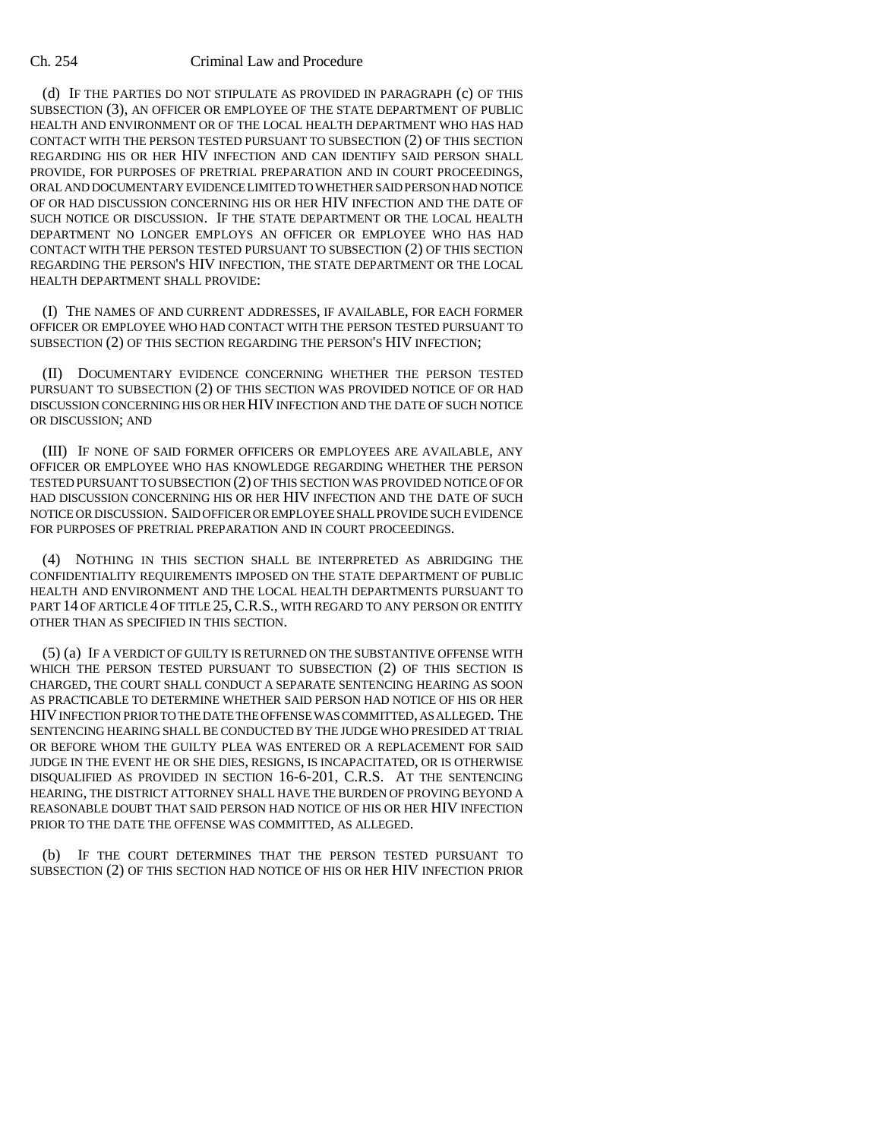#### Ch. 254 Criminal Law and Procedure

(d) IF THE PARTIES DO NOT STIPULATE AS PROVIDED IN PARAGRAPH (c) OF THIS SUBSECTION (3), AN OFFICER OR EMPLOYEE OF THE STATE DEPARTMENT OF PUBLIC HEALTH AND ENVIRONMENT OR OF THE LOCAL HEALTH DEPARTMENT WHO HAS HAD CONTACT WITH THE PERSON TESTED PURSUANT TO SUBSECTION (2) OF THIS SECTION REGARDING HIS OR HER HIV INFECTION AND CAN IDENTIFY SAID PERSON SHALL PROVIDE, FOR PURPOSES OF PRETRIAL PREPARATION AND IN COURT PROCEEDINGS, ORAL AND DOCUMENTARY EVIDENCE LIMITED TO WHETHER SAID PERSON HAD NOTICE OF OR HAD DISCUSSION CONCERNING HIS OR HER HIV INFECTION AND THE DATE OF SUCH NOTICE OR DISCUSSION. IF THE STATE DEPARTMENT OR THE LOCAL HEALTH DEPARTMENT NO LONGER EMPLOYS AN OFFICER OR EMPLOYEE WHO HAS HAD CONTACT WITH THE PERSON TESTED PURSUANT TO SUBSECTION (2) OF THIS SECTION REGARDING THE PERSON'S HIV INFECTION, THE STATE DEPARTMENT OR THE LOCAL HEALTH DEPARTMENT SHALL PROVIDE:

(I) THE NAMES OF AND CURRENT ADDRESSES, IF AVAILABLE, FOR EACH FORMER OFFICER OR EMPLOYEE WHO HAD CONTACT WITH THE PERSON TESTED PURSUANT TO SUBSECTION (2) OF THIS SECTION REGARDING THE PERSON'S HIV INFECTION;

(II) DOCUMENTARY EVIDENCE CONCERNING WHETHER THE PERSON TESTED PURSUANT TO SUBSECTION (2) OF THIS SECTION WAS PROVIDED NOTICE OF OR HAD DISCUSSION CONCERNING HIS OR HER HIV INFECTION AND THE DATE OF SUCH NOTICE OR DISCUSSION; AND

(III) IF NONE OF SAID FORMER OFFICERS OR EMPLOYEES ARE AVAILABLE, ANY OFFICER OR EMPLOYEE WHO HAS KNOWLEDGE REGARDING WHETHER THE PERSON TESTED PURSUANT TO SUBSECTION (2) OF THIS SECTION WAS PROVIDED NOTICE OF OR HAD DISCUSSION CONCERNING HIS OR HER HIV INFECTION AND THE DATE OF SUCH NOTICE OR DISCUSSION. SAID OFFICER OR EMPLOYEE SHALL PROVIDE SUCH EVIDENCE FOR PURPOSES OF PRETRIAL PREPARATION AND IN COURT PROCEEDINGS.

(4) NOTHING IN THIS SECTION SHALL BE INTERPRETED AS ABRIDGING THE CONFIDENTIALITY REQUIREMENTS IMPOSED ON THE STATE DEPARTMENT OF PUBLIC HEALTH AND ENVIRONMENT AND THE LOCAL HEALTH DEPARTMENTS PURSUANT TO PART 14 OF ARTICLE 4 OF TITLE 25, C.R.S., WITH REGARD TO ANY PERSON OR ENTITY OTHER THAN AS SPECIFIED IN THIS SECTION.

(5) (a) IF A VERDICT OF GUILTY IS RETURNED ON THE SUBSTANTIVE OFFENSE WITH WHICH THE PERSON TESTED PURSUANT TO SUBSECTION (2) OF THIS SECTION IS CHARGED, THE COURT SHALL CONDUCT A SEPARATE SENTENCING HEARING AS SOON AS PRACTICABLE TO DETERMINE WHETHER SAID PERSON HAD NOTICE OF HIS OR HER HIV INFECTION PRIOR TO THE DATE THE OFFENSE WAS COMMITTED, AS ALLEGED. THE SENTENCING HEARING SHALL BE CONDUCTED BY THE JUDGE WHO PRESIDED AT TRIAL OR BEFORE WHOM THE GUILTY PLEA WAS ENTERED OR A REPLACEMENT FOR SAID JUDGE IN THE EVENT HE OR SHE DIES, RESIGNS, IS INCAPACITATED, OR IS OTHERWISE DISQUALIFIED AS PROVIDED IN SECTION 16-6-201, C.R.S. AT THE SENTENCING HEARING, THE DISTRICT ATTORNEY SHALL HAVE THE BURDEN OF PROVING BEYOND A REASONABLE DOUBT THAT SAID PERSON HAD NOTICE OF HIS OR HER HIV INFECTION PRIOR TO THE DATE THE OFFENSE WAS COMMITTED, AS ALLEGED.

IF THE COURT DETERMINES THAT THE PERSON TESTED PURSUANT TO SUBSECTION (2) OF THIS SECTION HAD NOTICE OF HIS OR HER HIV INFECTION PRIOR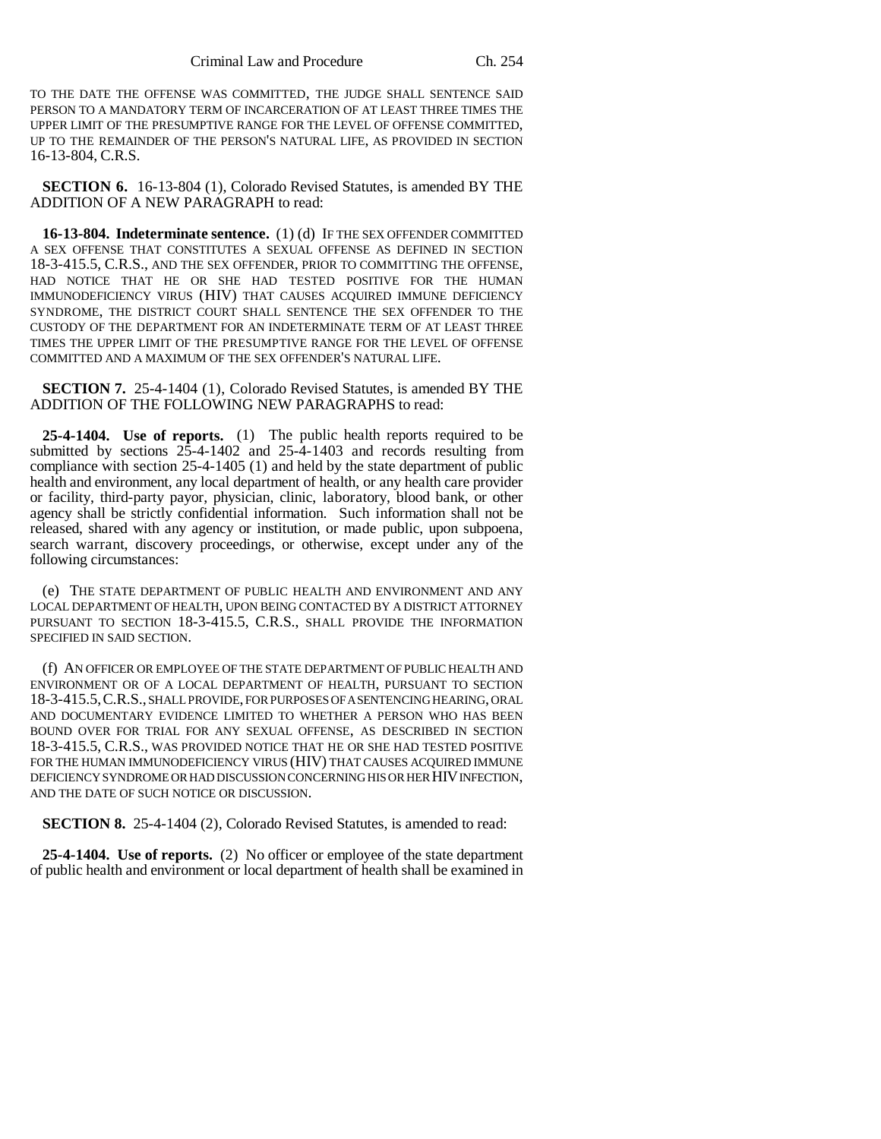TO THE DATE THE OFFENSE WAS COMMITTED, THE JUDGE SHALL SENTENCE SAID PERSON TO A MANDATORY TERM OF INCARCERATION OF AT LEAST THREE TIMES THE UPPER LIMIT OF THE PRESUMPTIVE RANGE FOR THE LEVEL OF OFFENSE COMMITTED, UP TO THE REMAINDER OF THE PERSON'S NATURAL LIFE, AS PROVIDED IN SECTION 16-13-804, C.R.S.

**SECTION 6.** 16-13-804 (1), Colorado Revised Statutes, is amended BY THE ADDITION OF A NEW PARAGRAPH to read:

**16-13-804. Indeterminate sentence.** (1) (d) IF THE SEX OFFENDER COMMITTED A SEX OFFENSE THAT CONSTITUTES A SEXUAL OFFENSE AS DEFINED IN SECTION 18-3-415.5, C.R.S., AND THE SEX OFFENDER, PRIOR TO COMMITTING THE OFFENSE, HAD NOTICE THAT HE OR SHE HAD TESTED POSITIVE FOR THE HUMAN IMMUNODEFICIENCY VIRUS (HIV) THAT CAUSES ACQUIRED IMMUNE DEFICIENCY SYNDROME, THE DISTRICT COURT SHALL SENTENCE THE SEX OFFENDER TO THE CUSTODY OF THE DEPARTMENT FOR AN INDETERMINATE TERM OF AT LEAST THREE TIMES THE UPPER LIMIT OF THE PRESUMPTIVE RANGE FOR THE LEVEL OF OFFENSE COMMITTED AND A MAXIMUM OF THE SEX OFFENDER'S NATURAL LIFE.

**SECTION 7.** 25-4-1404 (1), Colorado Revised Statutes, is amended BY THE ADDITION OF THE FOLLOWING NEW PARAGRAPHS to read:

**25-4-1404. Use of reports.** (1) The public health reports required to be submitted by sections  $2\overline{5}$ -4-1402 and  $2\overline{5}$ -4-1403 and records resulting from compliance with section 25-4-1405 (1) and held by the state department of public health and environment, any local department of health, or any health care provider or facility, third-party payor, physician, clinic, laboratory, blood bank, or other agency shall be strictly confidential information. Such information shall not be released, shared with any agency or institution, or made public, upon subpoena, search warrant, discovery proceedings, or otherwise, except under any of the following circumstances:

(e) THE STATE DEPARTMENT OF PUBLIC HEALTH AND ENVIRONMENT AND ANY LOCAL DEPARTMENT OF HEALTH, UPON BEING CONTACTED BY A DISTRICT ATTORNEY PURSUANT TO SECTION 18-3-415.5, C.R.S., SHALL PROVIDE THE INFORMATION SPECIFIED IN SAID SECTION.

(f) AN OFFICER OR EMPLOYEE OF THE STATE DEPARTMENT OF PUBLIC HEALTH AND ENVIRONMENT OR OF A LOCAL DEPARTMENT OF HEALTH, PURSUANT TO SECTION 18-3-415.5,C.R.S., SHALL PROVIDE, FOR PURPOSES OF A SENTENCING HEARING, ORAL AND DOCUMENTARY EVIDENCE LIMITED TO WHETHER A PERSON WHO HAS BEEN BOUND OVER FOR TRIAL FOR ANY SEXUAL OFFENSE, AS DESCRIBED IN SECTION 18-3-415.5, C.R.S., WAS PROVIDED NOTICE THAT HE OR SHE HAD TESTED POSITIVE FOR THE HUMAN IMMUNODEFICIENCY VIRUS (HIV) THAT CAUSES ACQUIRED IMMUNE DEFICIENCY SYNDROME OR HAD DISCUSSION CONCERNING HIS OR HER HIV INFECTION, AND THE DATE OF SUCH NOTICE OR DISCUSSION.

**SECTION 8.** 25-4-1404 (2), Colorado Revised Statutes, is amended to read:

**25-4-1404. Use of reports.** (2) No officer or employee of the state department of public health and environment or local department of health shall be examined in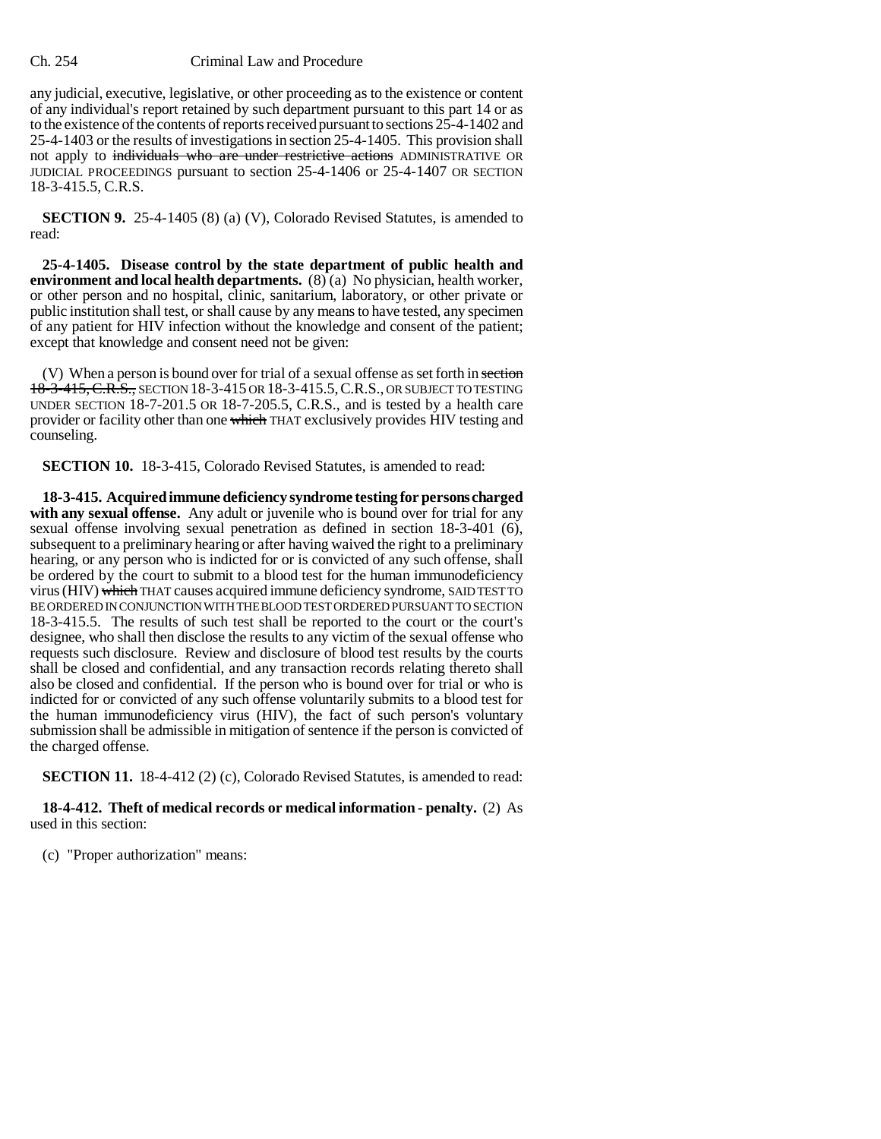### Ch. 254 Criminal Law and Procedure

any judicial, executive, legislative, or other proceeding as to the existence or content of any individual's report retained by such department pursuant to this part 14 or as to the existence of the contents of reports received pursuant to sections 25-4-1402 and 25-4-1403 or the results of investigations in section 25-4-1405. This provision shall not apply to individuals who are under restrictive actions ADMINISTRATIVE OR JUDICIAL PROCEEDINGS pursuant to section 25-4-1406 or 25-4-1407 OR SECTION 18-3-415.5, C.R.S.

**SECTION 9.** 25-4-1405 (8) (a) (V), Colorado Revised Statutes, is amended to read:

**25-4-1405. Disease control by the state department of public health and environment and local health departments.** (8) (a) No physician, health worker, or other person and no hospital, clinic, sanitarium, laboratory, or other private or public institution shall test, or shall cause by any means to have tested, any specimen of any patient for HIV infection without the knowledge and consent of the patient; except that knowledge and consent need not be given:

(V) When a person is bound over for trial of a sexual offense as set forth in section 18-3-415, C.R.S., SECTION 18-3-415 OR 18-3-415.5, C.R.S., OR SUBJECT TO TESTING UNDER SECTION 18-7-201.5 OR 18-7-205.5, C.R.S., and is tested by a health care provider or facility other than one which THAT exclusively provides HIV testing and counseling.

**SECTION 10.** 18-3-415, Colorado Revised Statutes, is amended to read:

**18-3-415. Acquired immune deficiency syndrome testing for persons charged** with any sexual offense. Any adult or juvenile who is bound over for trial for any sexual offense involving sexual penetration as defined in section 18-3-401 (6), subsequent to a preliminary hearing or after having waived the right to a preliminary hearing, or any person who is indicted for or is convicted of any such offense, shall be ordered by the court to submit to a blood test for the human immunodeficiency virus (HIV) which THAT causes acquired immune deficiency syndrome, SAID TEST TO BE ORDERED IN CONJUNCTION WITH THE BLOOD TEST ORDERED PURSUANT TO SECTION 18-3-415.5. The results of such test shall be reported to the court or the court's designee, who shall then disclose the results to any victim of the sexual offense who requests such disclosure. Review and disclosure of blood test results by the courts shall be closed and confidential, and any transaction records relating thereto shall also be closed and confidential. If the person who is bound over for trial or who is indicted for or convicted of any such offense voluntarily submits to a blood test for the human immunodeficiency virus (HIV), the fact of such person's voluntary submission shall be admissible in mitigation of sentence if the person is convicted of the charged offense.

**SECTION 11.** 18-4-412 (2) (c), Colorado Revised Statutes, is amended to read:

**18-4-412. Theft of medical records or medical information - penalty.** (2) As used in this section:

(c) "Proper authorization" means: